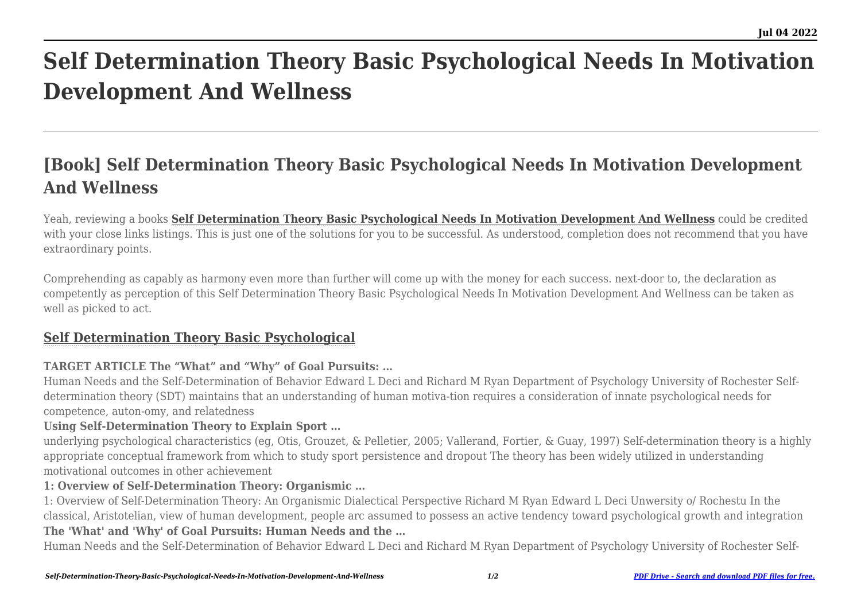# **Self Determination Theory Basic Psychological Needs In Motivation Development And Wellness**

# **[Book] Self Determination Theory Basic Psychological Needs In Motivation Development And Wellness**

Yeah, reviewing a books **[Self Determination Theory Basic Psychological Needs In Motivation Development And Wellness](http://thepineapplephilosophy.com)** could be credited with your close links listings. This is just one of the solutions for you to be successful. As understood, completion does not recommend that you have extraordinary points.

Comprehending as capably as harmony even more than further will come up with the money for each success. next-door to, the declaration as competently as perception of this Self Determination Theory Basic Psychological Needs In Motivation Development And Wellness can be taken as well as picked to act.

## **[Self Determination Theory Basic Psychological](http://thepineapplephilosophy.com/Self-Determination-Theory-Basic-Psychological-Needs-In-Motivation-Development-And-Wellness.pdf)**

### **TARGET ARTICLE The "What" and "Why" of Goal Pursuits: …**

Human Needs and the Self-Determination of Behavior Edward L Deci and Richard M Ryan Department of Psychology University of Rochester Selfdetermination theory (SDT) maintains that an understanding of human motiva-tion requires a consideration of innate psychological needs for competence, auton-omy, and relatedness

#### **Using Self-Determination Theory to Explain Sport …**

underlying psychological characteristics (eg, Otis, Grouzet, & Pelletier, 2005; Vallerand, Fortier, & Guay, 1997) Self-determination theory is a highly appropriate conceptual framework from which to study sport persistence and dropout The theory has been widely utilized in understanding motivational outcomes in other achievement

#### **1: Overview of Self-Determination Theory: Organismic …**

1: Overview of Self-Determination Theory: An Organismic Dialectical Perspective Richard M Ryan Edward L Deci Unwersity o/ Rochestu In the classical, Aristotelian, view of human development, people arc assumed to possess an active tendency toward psychological growth and integration **The 'What' and 'Why' of Goal Pursuits: Human Needs and the …**

Human Needs and the Self-Determination of Behavior Edward L Deci and Richard M Ryan Department of Psychology University of Rochester Self-